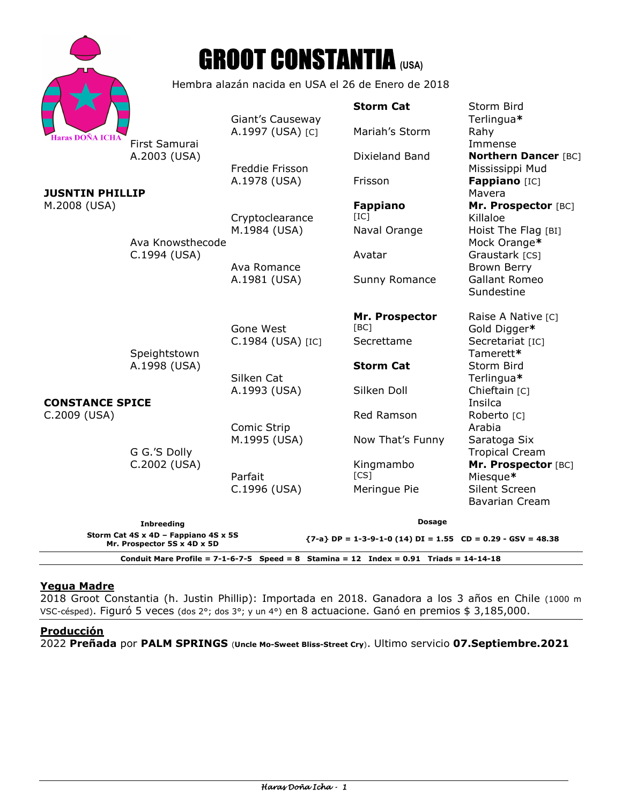|                                                                                                                                        |                                                                   | <b>GROOT CONSTANTIA</b> (USA) |                         |                                                |
|----------------------------------------------------------------------------------------------------------------------------------------|-------------------------------------------------------------------|-------------------------------|-------------------------|------------------------------------------------|
|                                                                                                                                        | Hembra alazán nacida en USA el 26 de Enero de 2018                |                               |                         |                                                |
| Haras DOÑA ICH <i>A</i><br><b>JUSNTIN PHILLIP</b><br>M.2008 (USA)                                                                      |                                                                   | Giant's Causeway              | <b>Storm Cat</b>        | Storm Bird<br>Terlingua*                       |
|                                                                                                                                        | First Samurai<br>A.2003 (USA)<br>Ava Knowsthecode<br>C.1994 (USA) | A.1997 (USA) [C]              | Mariah's Storm          | Rahy<br>Immense                                |
|                                                                                                                                        |                                                                   | Freddie Frisson               | Dixieland Band          | <b>Northern Dancer [BC]</b><br>Mississippi Mud |
|                                                                                                                                        |                                                                   | A.1978 (USA)                  | Frisson                 | Fappiano [IC]<br>Mavera                        |
|                                                                                                                                        |                                                                   | Cryptoclearance               | <b>Fappiano</b><br>[IC] | Mr. Prospector [BC]<br>Killaloe                |
|                                                                                                                                        |                                                                   | M.1984 (USA)                  | Naval Orange            | Hoist The Flag [BI]<br>Mock Orange*            |
|                                                                                                                                        |                                                                   | Ava Romance                   | Avatar                  | Graustark [CS]<br>Brown Berry                  |
|                                                                                                                                        |                                                                   | A.1981 (USA)                  | Sunny Romance           | <b>Gallant Romeo</b><br>Sundestine             |
|                                                                                                                                        |                                                                   | Gone West                     | Mr. Prospector<br>[BC]  | Raise A Native [C]<br>Gold Digger*             |
| <b>CONSTANCE SPICE</b><br>C.2009 (USA)                                                                                                 | Speightstown<br>A.1998 (USA)                                      | C.1984 (USA) [IC]             | Secrettame              | Secretariat [IC]<br>Tamerett*                  |
|                                                                                                                                        |                                                                   | Silken Cat                    | <b>Storm Cat</b>        | Storm Bird<br>Terlingua*                       |
|                                                                                                                                        | G G.'S Dolly<br>C.2002 (USA)                                      | A.1993 (USA)                  | Silken Doll             | Chieftain [C]<br>Insilca                       |
|                                                                                                                                        |                                                                   | Comic Strip                   | Red Ramson              | Roberto [C]<br>Arabia                          |
|                                                                                                                                        |                                                                   | M.1995 (USA)                  | Now That's Funny        | Saratoga Six<br><b>Tropical Cream</b>          |
|                                                                                                                                        |                                                                   | Parfait                       | Kingmambo<br>[CS]       | Mr. Prospector [BC]<br>Miesque*                |
|                                                                                                                                        |                                                                   | C.1996 (USA)                  | Meringue Pie            | Silent Screen<br><b>Bavarian Cream</b>         |
|                                                                                                                                        | <b>Inbreeding</b>                                                 |                               | <b>Dosage</b>           |                                                |
| Storm Cat 4S x 4D - Fappiano 4S x 5S<br>$\{7-a\}$ DP = 1-3-9-1-0 (14) DI = 1.55 CD = 0.29 - GSV = 48.38<br>Mr. Prospector 5S x 4D x 5D |                                                                   |                               |                         |                                                |
| Conduit Mare Profile = $7-1-6-7-5$ Speed = 8 Stamina = 12 Index = 0.91 Triads = 14-14-18                                               |                                                                   |                               |                         |                                                |

# **Yegua Madre**

2018 Groot Constantia (h. Justin Phillip): Importada en 2018. Ganadora a los 3 años en Chile (1000 m VSC-césped). Figuró 5 veces (dos 2°; dos 3°; y un 4°) en 8 actuacione. Ganó en premios \$ 3,185,000.

# **Producción**

2022 **Preñada** por **PALM SPRINGS** (**Uncle Mo-Sweet Bliss-Street Cry**). Ultimo servicio **07.Septiembre.2021**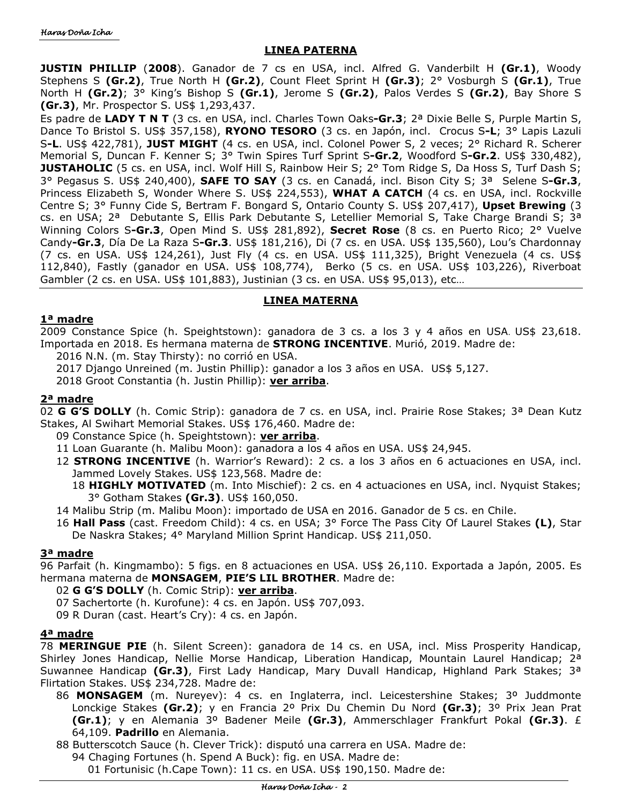### **LINEA PATERNA**

**JUSTIN PHILLIP** (**2008**). Ganador de 7 cs en USA, incl. Alfred G. Vanderbilt H **(Gr.1)**, Woody Stephens S **(Gr.2)**, True North H **(Gr.2)**, Count Fleet Sprint H **(Gr.3)**; 2° Vosburgh S **(Gr.1)**, True North H **(Gr.2)**; 3° King's Bishop S **(Gr.1)**, Jerome S **(Gr.2)**, Palos Verdes S **(Gr.2)**, Bay Shore S **(Gr.3)**, Mr. Prospector S. US\$ 1,293,437.

Es padre de **LADY T N T** (3 cs. en USA, incl. Charles Town Oaks**-Gr.3**; 2ª Dixie Belle S, Purple Martin S, Dance To Bristol S. US\$ 357,158), **RYONO TESORO** (3 cs. en Japón, incl. Crocus S**-L**; 3° Lapis Lazuli S**-L**. US\$ 422,781), **JUST MIGHT** (4 cs. en USA, incl. Colonel Power S, 2 veces; 2° Richard R. Scherer Memorial S, Duncan F. Kenner S; 3° Twin Spires Turf Sprint S**-Gr.2**, Woodford S**-Gr.2**. US\$ 330,482), **JUSTAHOLIC** (5 cs. en USA, incl. Wolf Hill S, Rainbow Heir S; 2° Tom Ridge S, Da Hoss S, Turf Dash S; 3° Pegasus S. US\$ 240,400), **SAFE TO SAY** (3 cs. en Canadá, incl. Bison City S; 3ª Selene S**-Gr.3**, Princess Elizabeth S, Wonder Where S. US\$ 224,553), **WHAT A CATCH** (4 cs. en USA, incl. Rockville Centre S; 3° Funny Cide S, Bertram F. Bongard S, Ontario County S. US\$ 207,417), **Upset Brewing** (3 cs. en USA; 2ª Debutante S, Ellis Park Debutante S, Letellier Memorial S, Take Charge Brandi S; 3ª Winning Colors S**-Gr.3**, Open Mind S. US\$ 281,892), **Secret Rose** (8 cs. en Puerto Rico; 2° Vuelve Candy**-Gr.3**, Día De La Raza S**-Gr.3**. US\$ 181,216), Di (7 cs. en USA. US\$ 135,560), Lou's Chardonnay (7 cs. en USA. US\$ 124,261), Just Fly (4 cs. en USA. US\$ 111,325), Bright Venezuela (4 cs. US\$ 112,840), Fastly (ganador en USA. US\$ 108,774), Berko (5 cs. en USA. US\$ 103,226), Riverboat Gambler (2 cs. en USA. US\$ 101,883), Justinian (3 cs. en USA. US\$ 95,013), etc…

# **LINEA MATERNA**

#### **1ª madre**

2009 Constance Spice (h. Speightstown): ganadora de 3 cs. a los 3 y 4 años en USA. US\$ 23,618. Importada en 2018. Es hermana materna de **STRONG INCENTIVE**. Murió, 2019. Madre de:

2016 N.N. (m. Stay Thirsty): no corrió en USA.

2017 Django Unreined (m. Justin Phillip): ganador a los 3 años en USA. US\$ 5,127.

2018 Groot Constantia (h. Justin Phillip): **ver arriba**.

# **2ª madre**

02 **G G'S DOLLY** (h. Comic Strip): ganadora de 7 cs. en USA, incl. Prairie Rose Stakes; 3ª Dean Kutz Stakes, Al Swihart Memorial Stakes. US\$ 176,460. Madre de:

- 09 Constance Spice (h. Speightstown): **ver arriba**.
- 11 Loan Guarante (h. Malibu Moon): ganadora a los 4 años en USA. US\$ 24,945.
- 12 **STRONG INCENTIVE** (h. Warrior's Reward): 2 cs. a los 3 años en 6 actuaciones en USA, incl. Jammed Lovely Stakes. US\$ 123,568. Madre de:
	- 18 **HIGHLY MOTIVATED** (m. Into Mischief): 2 cs. en 4 actuaciones en USA, incl. Nyquist Stakes; 3° Gotham Stakes **(Gr.3)**. US\$ 160,050.
- 14 Malibu Strip (m. Malibu Moon): importado de USA en 2016. Ganador de 5 cs. en Chile.
- 16 **Hall Pass** (cast. Freedom Child): 4 cs. en USA; 3° Force The Pass City Of Laurel Stakes **(L)**, Star De Naskra Stakes; 4° Maryland Million Sprint Handicap. US\$ 211,050.

#### **3ª madre**

96 Parfait (h. Kingmambo): 5 figs. en 8 actuaciones en USA. US\$ 26,110. Exportada a Japón, 2005. Es hermana materna de **MONSAGEM**, **PIE'S LIL BROTHER**. Madre de:

- 02 **G G'S DOLLY** (h. Comic Strip): **ver arriba**.
- 07 Sachertorte (h. Kurofune): 4 cs. en Japón. US\$ 707,093.
- 09 R Duran (cast. Heart's Cry): 4 cs. en Japón.

#### **4ª madre**

78 **MERINGUE PIE** (h. Silent Screen): ganadora de 14 cs. en USA, incl. Miss Prosperity Handicap, Shirley Jones Handicap, Nellie Morse Handicap, Liberation Handicap, Mountain Laurel Handicap; 2<sup>a</sup> Suwannee Handicap **(Gr.3)**, First Lady Handicap, Mary Duvall Handicap, Highland Park Stakes; 3ª Flirtation Stakes. US\$ 234,728. Madre de:

86 **MONSAGEM** (m. Nureyev): 4 cs. en Inglaterra, incl. Leicestershine Stakes; 3º Juddmonte Lonckige Stakes **(Gr.2)**; y en Francia 2º Prix Du Chemin Du Nord **(Gr.3)**; 3º Prix Jean Prat **(Gr.1)**; y en Alemania 3º Badener Meile **(Gr.3)**, Ammerschlager Frankfurt Pokal **(Gr.3)**. £ 64,109. **Padrillo** en Alemania.

88 Butterscotch Sauce (h. Clever Trick): disputó una carrera en USA. Madre de:

- 94 Chaging Fortunes (h. Spend A Buck): fig. en USA. Madre de:
	- 01 Fortunisic (h.Cape Town): 11 cs. en USA. US\$ 190,150. Madre de: